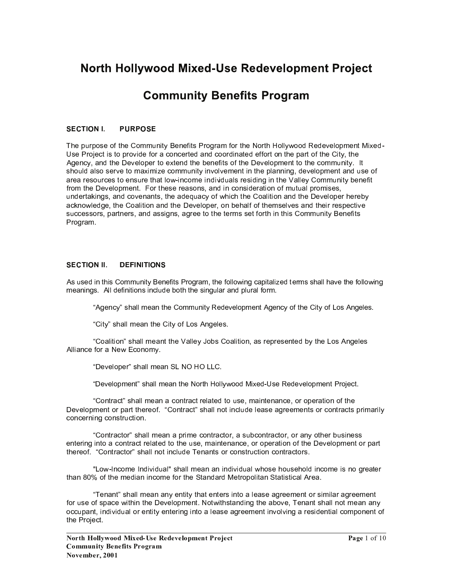# North Hollywood Mixed-Use Redevelopment Project

# **Community Benefits Program**

### SECTION I. PURPOSE

The purpose of the Community Benefits Program for the North Hollywood Redevelopment Mixed-Use Project is to provide for a concerted and coordinated effort on the part of the City, the Agency, and the Developer to extend the benefits of the Development to the community. It should also serve to maximize community involvement in the planning, development and use of area resources to ensure that low-income individuals residing in the Valley Community benefit from the Development. For these reasons, and in consideration of mutual promises, undertakings, and covenants, the adequacy of which the Coalition and the Developer hereby acknowledge, the Coalition and the Developer, on behalf of themselves and their respective successors, partners, and assigns, agree to the terms set forth in this Community Benefits Program.

### SECTION II. DEFINITIONS

As used in this Community Benefits Program, the following capitalized terms shall have the following meanings. All definitions include both the singular and plural form.

"Agency" shall mean the Community Redevelopment Agency of the City of Los Angeles.

` <sup>=</sup> @ < <sup>A</sup> <sup>a</sup> : <sup>4</sup> <sup>E</sup> <sup>H</sup> <sup>H</sup> <sup>&</sup>gt; <sup>5</sup> <sup>E</sup> ? <sup>&</sup>lt; <sup>4</sup> <sup>5</sup> <sup>=</sup> @ < <sup>A</sup> <sup>9</sup> ; <sup>b</sup> <sup>9</sup> : <sup>T</sup> ? <sup>D</sup> <sup>5</sup> <sup>H</sup> <sup>5</sup> : <sup>W</sup>

` <sup>=</sup> <sup>9</sup> <sup>E</sup> <sup>H</sup> @ < @ <sup>9</sup> ? <sup>a</sup> : <sup>4</sup> <sup>E</sup> <sup>H</sup> <sup>H</sup> <sup>&</sup>gt; <sup>5</sup> <sup>E</sup> ? <sup>&</sup>lt; <sup>&</sup>lt; <sup>4</sup> <sup>5</sup> <sup>Z</sup> <sup>E</sup> <sup>H</sup> <sup>H</sup> <sup>5</sup> <sup>A</sup> <sup>c</sup> <sup>9</sup> <sup>V</sup> : <sup>=</sup> <sup>9</sup> <sup>E</sup> <sup>H</sup> @ < @ <sup>9</sup> ? <sup>S</sup> <sup>E</sup> : <sup>8</sup> <sup>5</sup> <sup>6</sup> <sup>8</sup> <sup>5</sup> : <sup>5</sup> ? <sup>&</sup>lt; <sup>5</sup> <sup>J</sup> <sup>V</sup> <sup>A</sup> <sup>&</sup>lt; <sup>4</sup> <sup>5</sup> <sup>b</sup> <sup>9</sup> : <sup>T</sup> ? <sup>D</sup> <sup>5</sup> <sup>H</sup> <sup>5</sup> : Alliance for a New Economy.

` <sup>U</sup> <sup>5</sup> <sup>L</sup> <sup>5</sup> <sup>H</sup> <sup>9</sup> <sup>6</sup> <sup>5</sup> <sup>8</sup> <sup>a</sup> : <sup>4</sup> <sup>E</sup> <sup>H</sup> <sup>H</sup> <sup>&</sup>gt; <sup>5</sup> <sup>E</sup> ? <sup>e</sup> <sup>b</sup> <sup>F</sup> <sup>f</sup> <sup>G</sup> <sup>f</sup> <sup>b</sup> <sup>b</sup> <sup>=</sup> <sup>W</sup>

` <sup>U</sup> <sup>5</sup> <sup>L</sup> <sup>5</sup> <sup>H</sup> <sup>9</sup> <sup>6</sup> <sup>&</sup>gt; <sup>5</sup> ? <sup>&</sup>lt; <sup>a</sup> : <sup>4</sup> <sup>E</sup> <sup>H</sup> <sup>H</sup> <sup>&</sup>gt; <sup>5</sup> <sup>E</sup> ? <sup>&</sup>lt; <sup>4</sup> <sup>5</sup> <sup>F</sup> <sup>9</sup> <sup>8</sup> <sup>&</sup>lt; <sup>4</sup> <sup>G</sup> <sup>9</sup> <sup>H</sup> <sup>H</sup> <sup>A</sup> <sup>I</sup> <sup>9</sup> <sup>9</sup> <sup>J</sup> <sup>M</sup> @ N <sup>5</sup> <sup>J</sup> <sup>O</sup> <sup>P</sup> : <sup>5</sup> <sup>K</sup> <sup>5</sup> <sup>J</sup> <sup>5</sup> <sup>L</sup> <sup>5</sup> <sup>H</sup> <sup>9</sup> <sup>6</sup> <sup>&</sup>gt; <sup>5</sup> ? <sup>&</sup>lt; <sup>C</sup> <sup>8</sup> <sup>9</sup> <sup>Q</sup> <sup>5</sup> <sup>R</sup> <sup>&</sup>lt; <sup>W</sup>

"Contract" shall mean a contract related to use, maintenance, or operation of the Development or part thereof. "Contract" shall not include lease agreements or contracts primarily concerning construction.

"Contractor" shall mean a prime contractor, a subcontractor, or any other business entering into a contract related to the use, maintenance, or operation of the Development or part thereof. "Contractor" shall not include Tenants or construction contractors.

"Low-Income Individual" shall mean an individual whose household income is no greater than 80% of the median income for the Standard Metropolitan Statistical Area.

"Tenant" shall mean any entity that enters into a lease agreement or similar agreement for use of space within the Development. Notwithstanding the above, Tenant shall not mean any occupant, individual or entity entering into a lease agreement involving a residential component of the Project.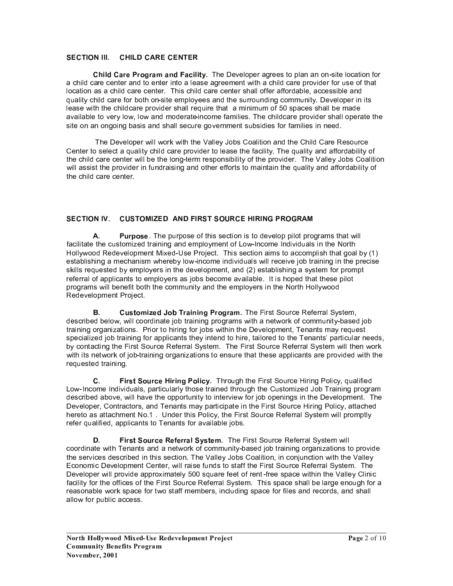### SECTION III. CHILD CARE CENTER

Child Care Program and Facility. The Developer agrees to plan an on-site location for a child care center and to enter into a lease agreement with a child care provider for use of that location as a child care center. This child care center shall offer affordable, accessible and quality child care for both on-site employees and the surrounding community. Developer in its lease with the childcare provider shall require that a minimum of 50 spaces shall be made available to very low, low and moderate-income families. The childcare provider shall operate the site on an ongoing basis and shall secure government subsidies for families in need.

The Developer will work with the Valley Jobs Coalition and the Child Care Resource Center to select a quality child care provider to lease the facility. The quality and affordability of the child care center will be the long-term responsibility of the provider. The Valley Jobs Coalition will assist the provider in fundraising and other efforts to maintain the quality and affordability of the child care center

### **SECTION IV. CUSTOMIZED AND FIRST SOURCE HIRING PROGRAM**

 $\mathbf{A}$ **Purpose.** The purpose of this section is to develop pilot programs that will facilitate the customized training and employment of Low-Income Individuals in the North Hollywood Redevelopment Mixed-Use Project. This section aims to accomplish that goal by (1) establishing a mechanism whereby low-income individuals will receive job training in the precise skills requested by employers in the development, and (2) establishing a system for prompt referral of applicants to employers as jobs become available. It is hoped that these pilot programs will benefit both the community and the employers in the North Hollywood Redevelopment Project.

Customized Job Training Program. The First Source Referral System, В. described below, will coordinate job training programs with a network of community-based job training organizations. Prior to hiring for jobs within the Development, Tenants may reguest specialized job training for applicants they intend to hire, tailored to the Tenants' particular needs, by contacting the First Source Referral System. The First Source Referral System will then work with its network of job-training organizations to ensure that these applicants are provided with the requested training.

First Source Hiring Policy. Through the First Source Hiring Policy, qualified С. Low-Income Individuals, particularly those trained through the Customized Job Training program described above, will have the opportunity to interview for job openings in the Development. The Developer, Contractors, and Tenants may participate in the First Source Hiring Policy, attached hereto as attachment No.1. Under this Policy, the First Source Referral System will promptly refer qualified, applicants to Tenants for available jobs.

D. First Source Referral System. The First Source Referral System will coordinate with Tenants and a network of community-based job training organizations to provide the services described in this section. The Valley Jobs Coalition, in conjunction with the Valley Economic Development Center, will raise funds to staff the First Source Referral System. The Developer will provide approximately 500 square feet of rent-free space within the Valley Clinic facility for the offices of the First Source Referral System. This space shall be large enough for a reasonable work space for two staff members, including space for files and records, and shall allow for public access.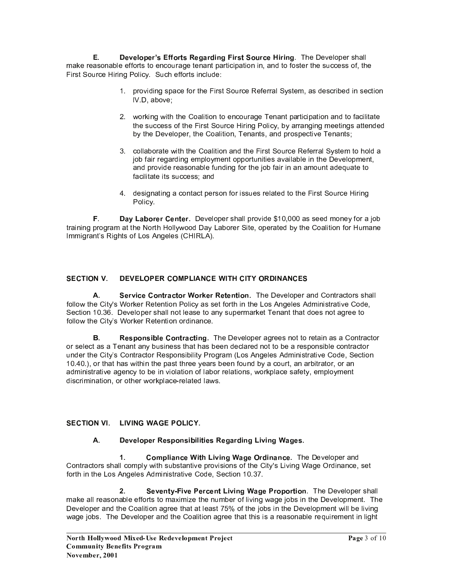Е. Developer's Efforts Regarding First Source Hiring. The Developer shall make reasonable efforts to encourage tenant participation in, and to foster the success of, the First Source Hiring Policy. Such efforts include:

- 1. providing space for the First Source Referral System, as described in section IV.D, above;
- 2. working with the Coalition to encourage Tenant participation and to facilitate the success of the First Source Hiring Policy, by arranging meetings attended by the Developer, the Coalition, Tenants, and prospective Tenants;
- 3. collaborate with the Coalition and the First Source Referral System to hold a job fair regarding employment opportunities available in the Development, and provide reasonable funding for the job fair in an amount adequate to facilitate its success: and
- 4. designating a contact person for issues related to the First Source Hiring Policy.

F. Day Laborer Center. Developer shall provide \$10,000 as seed money for a job training program at the North Hollywood Day Laborer Site, operated by the Coalition for Humane Immigrant's Rights of Los Angeles (CHIRLA).

### **SECTION V.** DEVELOPER COMPLIANCE WITH CITY ORDINANCES

Service Contractor Worker Retention. The Developer and Contractors shall  $\Delta$ follow the City's Worker Retention Policy as set forth in the Los Angeles Administrative Code, Section 10.36. Developer shall not lease to any supermarket Tenant that does not agree to follow the City's Worker Retention ordinance.

В. Responsible Contracting. The Developer agrees not to retain as a Contractor or select as a Tenant any business that has been declared not to be a responsible contractor under the City's Contractor Responsibility Program (Los Angeles Administrative Code, Section 10.40.), or that has within the past three years been found by a court, an arbitrator, or an administrative agency to be in violation of labor relations, workplace safety, employment discrimination, or other workplace-related laws.

## SECTION VI. LIVING WAGE POLICY.

### Developer Responsibilities Regarding Living Wages. **A.**

 $1.$ Compliance With Living Wage Ordinance. The Developer and Contractors shall comply with substantive provisions of the City's Living Wage Ordinance, set forth in the Los Angeles Administrative Code, Section 10.37.

Seventy-Five Percent Living Wage Proportion. The Developer shall  $\overline{2}$ make all reasonable efforts to maximize the number of living wage jobs in the Development. The Developer and the Coalition agree that at least 75% of the jobs in the Development will be living wage jobs. The Developer and the Coalition agree that this is a reasonable requirement in light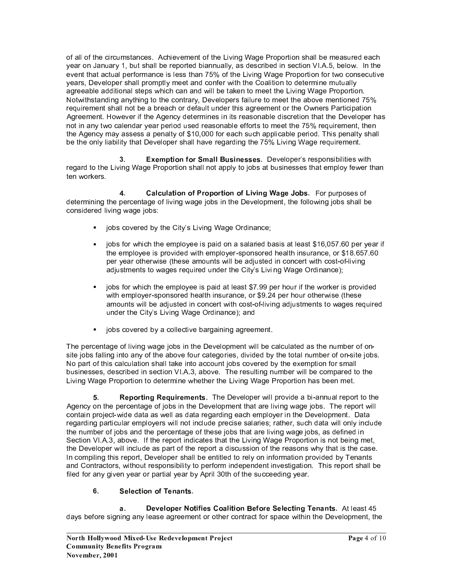of all of the circumstances. Achievement of the Living Wage Proportion shall be measured each year on January 1, but shall be reported biannually, as described in section VI.A.5, below. In the event that actual performance is less than 75% of the Living Wage Proportion for two consecutive years, Developer shall promptly meet and confer with the Coalition to determine mutually agreeable additional steps which can and will be taken to meet the Living Wage Proportion. Notwithstanding anything to the contrary, Developers failure to meet the above mentioned 75% requirement shall not be a breach or default under this agreement or the Owners Participation Agreement. However if the Agency determines in its reasonable discretion that the Developer has not in any two calendar year period used reasonable efforts to meet the 75% requirement, then the Agency may assess a penalty of \$10,000 for each such applicable period. This penalty shall be the only liability that Developer shall have regarding the 75% Living Wage requirement.

**Exemption for Small Businesses.** Developer's responsibilities with  $3<sub>1</sub>$ regard to the Living Wage Proportion shall not apply to jobs at businesses that employ fewer than ten workers.

 $\mathbf{4}$ Calculation of Proportion of Living Wage Jobs. For purposes of determining the percentage of living wage jobs in the Development, the following jobs shall be considered living wage jobs:

- jobs covered by the City's Living Wage Ordinance;
- jobs for which the employee is paid on a salaried basis at least \$16,057.60 per year if the employee is provided with employer-sponsored health insurance, or \$18.657.60 per vear otherwise (these amounts will be adjusted in concert with cost-of-living adjustments to wages required under the City's Living Wage Ordinance);
- jobs for which the employee is paid at least \$7.99 per hour if the worker is provided with employer-sponsored health insurance, or \$9.24 per hour otherwise (these amounts will be adjusted in concert with cost-of-living adjustments to wages required under the City's Living Wage Ordinance); and
- $\blacksquare$ jobs covered by a collective bargaining agreement.

The percentage of living wage jobs in the Development will be calculated as the number of onsite jobs falling into any of the above four categories, divided by the total number of on-site jobs. No part of this calculation shall take into account jobs covered by the exemption for small businesses, described in section VI.A.3, above. The resulting number will be compared to the Living Wage Proportion to determine whether the Living Wage Proportion has been met.

5. **Reporting Requirements.** The Developer will provide a bi-annual report to the Agency on the percentage of jobs in the Development that are living wage jobs. The report will contain project-wide data as well as data regarding each employer in the Development. Data regarding particular employers will not include precise salaries; rather, such data will only include the number of jobs and the percentage of these jobs that are living wage jobs, as defined in Section VI.A.3, above. If the report indicates that the Living Wage Proportion is not being met, the Developer will include as part of the report a discussion of the reasons why that is the case. In compiling this report. Developer shall be entitled to rely on information provided by Tenants and Contractors, without responsibility to perform independent investigation. This report shall be filed for any given year or partial year by April 30th of the succeeding year.

### 6 **Selection of Tenants.**

Developer Notifies Coalition Before Selecting Tenants. At least 45 а. days before signing any lease agreement or other contract for space within the Development, the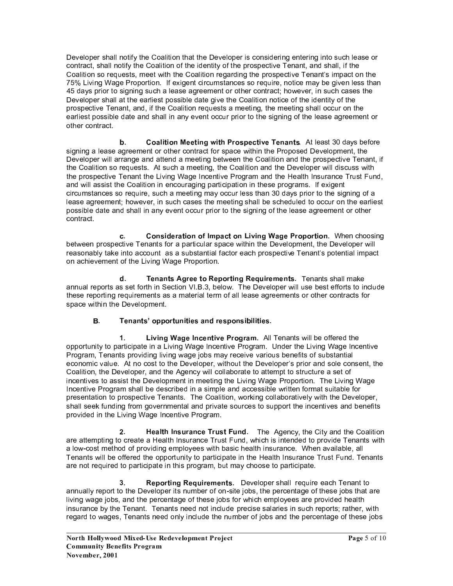Developer shall notify the Coalition that the Developer is considering entering into such lease or contract, shall notify the Coalition of the identity of the prospective Tenant, and shall, if the Coalition so requests, meet with the Coalition regarding the prospective Tenant's impact on the 75% Living Wage Proportion. If exigent circumstances so require, notice may be given less than 45 days prior to signing such a lease agreement or other contract; however, in such cases the Developer shall at the earliest possible date give the Coalition notice of the identity of the prospective Tenant, and, if the Coalition requests a meeting, the meeting shall occur on the earliest possible date and shall in any event occur prior to the signing of the lease agreement or other contract.

 / \* <sup>v</sup> <sup>s</sup> <sup>q</sup> p { p v <sup>y</sup> <sup>u</sup> <sup>u</sup> { <sup>p</sup> <sup>y</sup> <sup>w</sup> <sup>ª</sup> p { <sup>o</sup> <sup>0</sup> <sup>t</sup> <sup>v</sup> <sup>u</sup> <sup>z</sup> { p <sup>u</sup> <sup>+</sup> <sup>u</sup> <sup>y</sup> <sup>s</sup> <sup>y</sup> { <sup>W</sup> <sup>T</sup> <sup>&</sup>lt; <sup>H</sup> <sup>5</sup> <sup>E</sup> : <sup>&</sup>lt; <sup>i</sup> <sup>J</sup> <sup>E</sup> <sup>A</sup> : <sup>V</sup> <sup>5</sup> ; <sup>9</sup> <sup>8</sup> <sup>5</sup> signing a lease agreement or other contract for space within the Proposed Development, the Developer will arrange and attend a meeting between the Coalition and the prospective Tenant, if the Coalition so requests. At such a meeting, the Coalition and the Developer will discuss with the prospective Tenant the Living Wage Incentive Program and the Health Insurance Trust Fund, and will assist the Coalition in encouraging participation in these programs. If exigent circumstances so require, such a meeting may occur less than 30 days prior to the signing of a lease agreement; however, in such cases the meeting shall be scheduled to occur on the earliest possible date and shall in any event occur prior to the signing of the lease agreement or other contract.

c. Consideration of Impact on Living Wage Proportion. When choosing between prospective Tenants for a particular space within the Development, the Developer will reasonably take into account as a substantial factor each prospective Tenant's potential impact on achievement of the Living Wage Proportion.

d. Tenants Agree to Reporting Requirements. Tenants shall make annual reports as set forth in Section VI.B.3, below. The Developer will use best efforts to include these reporting requirements as a material term of all lease agreements or other contracts for space within the Development.

## B. Tenants' opportunities and responsibilities.

1. Living Wage Incentive Program. All Tenants will be offered the opportunity to participate in a Living Wage Incentive Program. Under the Living Wage Incentive Program, Tenants providing living wage jobs may receive various benefits of substantial economic value. At no cost to the Developer, without the Developer's prior and sole consent, the Coalition, the Developer, and the Agency will collaborate to attempt to structure a set of incentives to assist the Development in meeting the Living Wage Proportion. The Living Wage Incentive Program shall be described in a simple and accessible written format suitable for presentation to prospective Tenants. The Coalition, working collaboratively with the Developer, shall seek funding from governmental and private sources to support the incentives and benefits provided in the Living Wage Incentive Program.

 $2.$ are attempting to create a Health Insurance Trust Fund, which is intended to provide Tenants with a low-cost method of providing employees with basic health insurance. When available, all Tenants will be offered the opportunity to participate in the Health Insurance Trust Fund. Tenants are not required to participate in this program, but may choose to participate.

¢ / <sup>2</sup> <sup>u</sup> <sup>v</sup> <sup>t</sup> { <sup>p</sup> <sup>y</sup> <sup>w</sup> <sup>2</sup> <sup>u</sup> § <sup>p</sup> <sup>t</sup> <sup>u</sup> <sup>x</sup> <sup>u</sup> <sup>y</sup> { / <sup>U</sup> <sup>5</sup> <sup>L</sup> <sup>5</sup> <sup>H</sup> <sup>9</sup> <sup>6</sup> <sup>5</sup> <sup>8</sup> : <sup>4</sup> <sup>E</sup> <sup>H</sup> <sup>H</sup> <sup>8</sup> <sup>5</sup> ] <sup>7</sup> @ <sup>8</sup> <sup>5</sup> <sup>5</sup> <sup>E</sup> <sup>R</sup> <sup>4</sup> <sup>3</sup> <sup>5</sup> ? <sup>E</sup> ? <sup>&</sup>lt; <sup>&</sup>lt; <sup>9</sup> annually report to the Developer its number of on-site jobs, the percentage of these jobs that are living wage jobs, and the percentage of these jobs for which employees are provided health insurance by the Tenant. Tenants need not include precise salaries in such reports; rather, with regard to wages, Tenants need only include the number of jobs and the percentage of these jobs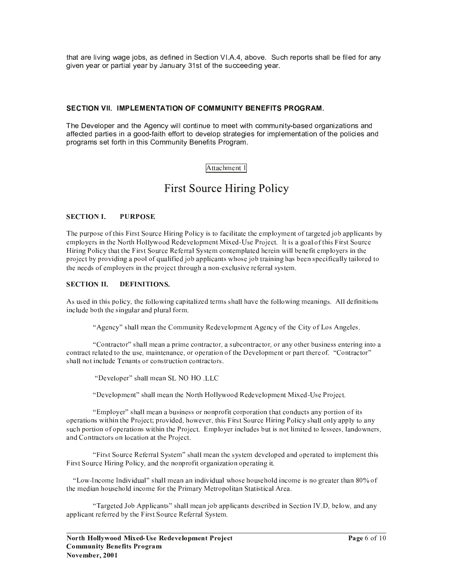that are living wage jobs, as defined in Section VI.A.4, above. Such reports shall be filed for any given year or partial year by January 31st of the succeeding year.

### SECTION VII. IMPLEMENTATION OF COMMUNITY BENEFITS PROGRAM.

The Developer and the Agency will continue to meet with community-based organizations and affected parties in a good-faith effort to develop strategies for implementation of the policies and programs set forth in this Community Benefits Program.

### Attachment 1

# **First Source Hiring Policy**

#### **SECTION I.** PURPOSE.

The purpose of this First Source Hiring Policy is to facilitate the employment of targeted job applicants by employers in the North Hollywood Redevelopment Mixed-Use Project. It is a goal of this First Source Hiring Policy that the First Source Referral System contemplated herein will benefit employers in the project by providing a pool of qualified job applicants whose job training has been specifically tailored to the needs of employers in the project through a non-exclusive referral system.

#### **SECTION II.** DEFINITIONS.

As used in this policy, the following capitalized terms shall have the following meanings. All definitions include both the singular and plural form.

"Agency" shall mean the Community Redevelopment Agency of the City of Los Angeles.

"Contractor" shall mean a prime contractor, a subcontractor, or any other business entering into a contract related to the use, maintenance, or operation of the Development or part there of. "Contractor" shall not include Tenants or construction contractors.

"Developer" shall mean SL NO HO .LLC

"Development" shall mean the North Hollywood Redevelopment Mixed-Use Project.

"Employer" shall mean a business or nonprofit corporation that conducts any portion of its operations within the Project; provided, however, this First Source Hiring Policy shall only apply to any such portion of operations within the Project. Employer includes but is not limited to lessees, landowners, and Contractors on location at the Project.

"First Source Referral System" shall mean the system developed and operated to implement this First Source Hiring Policy, and the nonprofit organization operating it.

"Low-Income Individual" shall mean an individual whose household income is no greater than 80% of the median household income for the Primary Metropolitan Statistical Area.

"Targeted Job Applicants" shall mean job applicants described in Section IV.D, below, and any applicant referred by the First Source Referral System.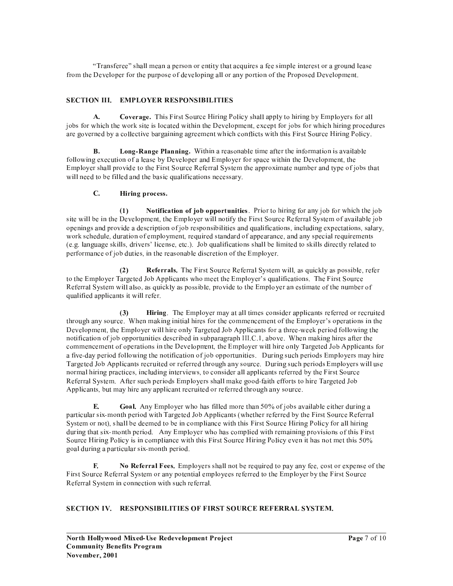"Transferee" shall mean a person or entity that acquires a fee simple interest or a ground lease from the Developer for the purpose of developing all or any portion of the Proposed Development.

### **SECTION III. EMPLOYER RESPONSIBILITIES**

 $A.$ **Coverage.** This First Source Hiring Policy shall apply to hiring by Employers for all jobs for which the work site is located within the Development, except for jobs for which hiring procedures are governed by a collective bargaining agreement which conflicts with this First Source Hiring Policy.

Long-Range Planning. Within a reasonable time after the information is available **B.** following execution of a lease by Developer and Employer for space within the Development, the Employer shall provide to the First Source Referral System the approximate number and type of jobs that will need to be filled and the basic qualifications necessary.

### $\mathbf{C}$ . Hiring process.

 $(1)$ Notification of job opportunities. Prior to hiring for any job for which the job site will be in the Development, the Employer will notify the First Source Referral System of available job openings and provide a description of job responsibilities and qualifications, including expectations, salary, work schedule, duration of employment, required standard of appearance, and any special requirements (e.g. language skills, drivers' license, etc.). Job qualifications shall be limited to skills directly related to performance of job duties, in the reasonable discretion of the Employer.

 $(2)$ Referrals. The First Source Referral System will, as quickly as possible, refer to the Employer Targeted Job Applicants who meet the Employer's qualifications. The First Source Referral System will also, as quickly as possible, provide to the Employer an estimate of the number of qualified applicants it will refer.

 $(3)$ Hiring. The Employer may at all times consider applicants referred or recruited through any source. When making initial hires for the commencement of the Employer's operations in the Development, the Employer will hire only Targeted Job Applicants for a three-week period following the notification of job opportunities described in subparagraph III.C.1, above. When making hires after the commencement of operations in the Development, the Employer will hire only Targeted Job Applicants for a five-day period following the notification of job opportunities. During such periods Employers may hire Targeted Job Applicants recruited or referred through any source. During such periods Employers will use normal hiring practices, including interviews, to consider all applicants referred by the First Source Referral System. After such periods Employers shall make good-faith efforts to hire Targeted Job Applicants, but may hire any applicant recruited or referred through any source.

E. Goal. Any Employer who has filled more than 50% of jobs available either during a particular six-month period with Targeted Job Applicants (whether referred by the First Source Referral System or not), shall be deemed to be in compliance with this First Source Hiring Policy for all hiring during that six-month period. Any Employer who has complied with remaining provisions of this First Source Hiring Policy is in compliance with this First Source Hiring Policy even it has not met this 50% goal during a particular six-month period.

No Referral Fees. Employers shall not be required to pay any fee, cost or expense of the E. First Source Referral System or any potential employees referred to the Employer by the First Source Referral System in connection with such referral.

## SECTION IV. RESPONSIBILITIES OF FIRST SOURCE REFERRAL SYSTEM.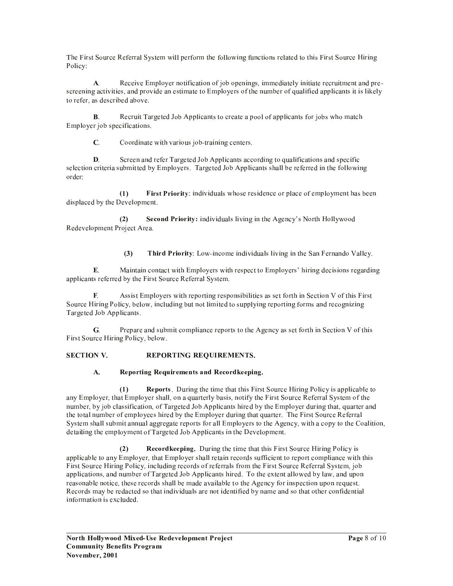The First Source Referral System will perform the following functions related to this First Source Hiring Policy:

Receive Employer notification of job openings, immediately initiate recruitment and pre-**A.** screening activities, and provide an estimate to Employers of the number of qualified applicants it is likely to refer, as described above.

 $\mathbf{B}$ . Recruit Targeted Job Applicants to create a pool of applicants for jobs who match Employer job specifications.

 $\mathbf{C}$ . Coordinate with various job-training centers.

Screen and refer Targeted Job Applicants according to qualifications and specific  $\mathbf{D}$ selection criteria submitted by Employers. Targeted Job Applicants shall be referred in the following order:

 $(1)$ First Priority: individuals whose residence or place of employment has been displaced by the Development.

 $(2)$ Second Priority: individuals living in the Agency's North Hollywood Redevelopment Project Area.

> $(3)$ Third Priority: Low-income individuals living in the San Fernando Valley.

Maintain contact with Employers with respect to Employers' hiring decisions regarding E. applicants referred by the First Source Referral System.

Assist Employers with reporting responsibilities as set forth in Section V of this First  $\mathbf{F}$ Source Hiring Policy, below, including but not limited to supplying reporting forms and recognizing Targeted Job Applicants.

 $G<sub>r</sub>$ Prepare and submit compliance reports to the Agency as set forth in Section V of this First Source Hiring Policy, below.

### REPORTING REOUIREMENTS. **SECTION V.**

### $A.$ Reporting Requirements and Recordkeeping.

**Reports.** During the time that this First Source Hiring Policy is applicable to  $(1)$ any Employer, that Employer shall, on a quarterly basis, notify the First Source Referral System of the number, by job classification, of Targeted Job Applicants hired by the Employer during that, quarter and the total number of employees hired by the Employer during that quarter. The First Source Referral System shall submit annual aggregate reports for all Employers to the Agency, with a copy to the Coalition, detailing the employment of Targeted Job Applicants in the Development.

 $(2)$ **Record keeping.** During the time that this First Source Hiring Policy is applicable to any Employer, that Employer shall retain records sufficient to report compliance with this First Source Hiring Policy, including records of referrals from the First Source Referral System, job applications, and number of Targeted Job Applicants hired. To the extent allowed by law, and upon reasonable notice, these records shall be made available to the Agency for inspection upon request. Records may be redacted so that individuals are not identified by name and so that other confidential information is excluded.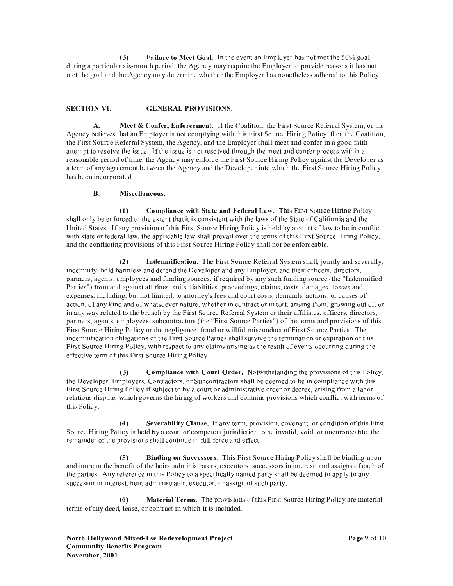Failure to Meet Goal. In the event an Employer has not met the 50% goal  $(3)$ during a particular six-month period, the Agency may require the Employer to provide reasons it has not met the goal and the Agency may determine whether the Employer has nonetheless adhered to this Policy.

#### **SECTION VI. GENERAL PROVISIONS.**

Meet & Confer, Enforcement. If the Coalition, the First Source Referral System, or the  $\Delta$ Agency believes that an Employer is not complying with this First Source Hiring Policy, then the Coalition, the First Source Referral System, the Agency, and the Employer shall meet and confer in a good faith attempt to resolve the issue. If the issue is not resolved through the meet and confer process within a reasonable period of time, the Agency may enforce the First Source Hiring Policy against the Developer as a term of any agreement between the Agency and the Developer into which the First Source Hiring Policy has been incorporated.

### $\mathbf{R}$ . Miscellaneous.

 $(1)$ **Compliance with State and Federal Law.** This First Source Hiring Policy shall only be enforced to the extent that it is consistent with the laws of the State of California and the United States. If any provision of this First Source Hiring Policy is held by a court of law to be in conflict with state or federal law, the applicable law shall prevail over the terms of this First Source Hiring Policy, and the conflicting provisions of this First Source Hiring Policy shall not be enforceable.

Indemnification. The First Source Referral System shall, jointly and severally,  $(2)$ indemnify, hold harmless and defend the Developer and any Employer, and their officers, directors, partners, agents, employees and funding sources, if required by any such funding source (the "Indemnified Parties") from and against all fines, suits, liabilities, proceedings, claims, costs, damages, losses and expenses, including, but not limited, to attorney's fees and court costs, demands, actions, or causes of action, of any kind and of whatsoever nature, whether in contract or in tort, arising from, growing out of, or in any way related to the breach by the First Source Referral System or their affiliates, officers, directors, partners, agents, employees, subcontractors (the "First Source Parties") of the terms and provisions of this First Source Hiring Policy or the negligence, fraud or willful misconduct of First Source Parties. The indemnification obligations of the First Source Parties shall survive the termination or expiration of this First Source Hiring Policy, with respect to any claims arising as the result of events occurring during the effective term of this First Source Hiring Policy.

**Compliance with Court Order.** Notwithstanding the provisions of this Policy,  $(3)$ the Developer, Employers, Contractors, or Subcontractors shall be deemed to be in compliance with this First Source Hiring Policy if subject to by a court or administrative order or decree, arising from a labor relations dispute, which governs the hiring of workers and contains provisions which conflict with terms of this Policy.

 $(4)$ Severability Clause. If any term, provision, covenant, or condition of this First Source Hiring Policy is held by a court of competent jurisdiction to be invalid, void, or unenforceable, the remainder of the provisions shall continue in full force and effect.

Binding on Successors. This First Source Hiring Policy shall be binding upon  $(5)$ and inure to the benefit of the heirs, administrators, executors, successors in interest, and assigns of each of the parties. Any reference in this Policy to a specifically named party shall be deemed to apply to any successor in interest, heir, administrator, executor, or assign of such party.

**Material Terms.** The provisions of this First Source Hiring Policy are material  $(6)$ terms of any deed, lease, or contract in which it is included.